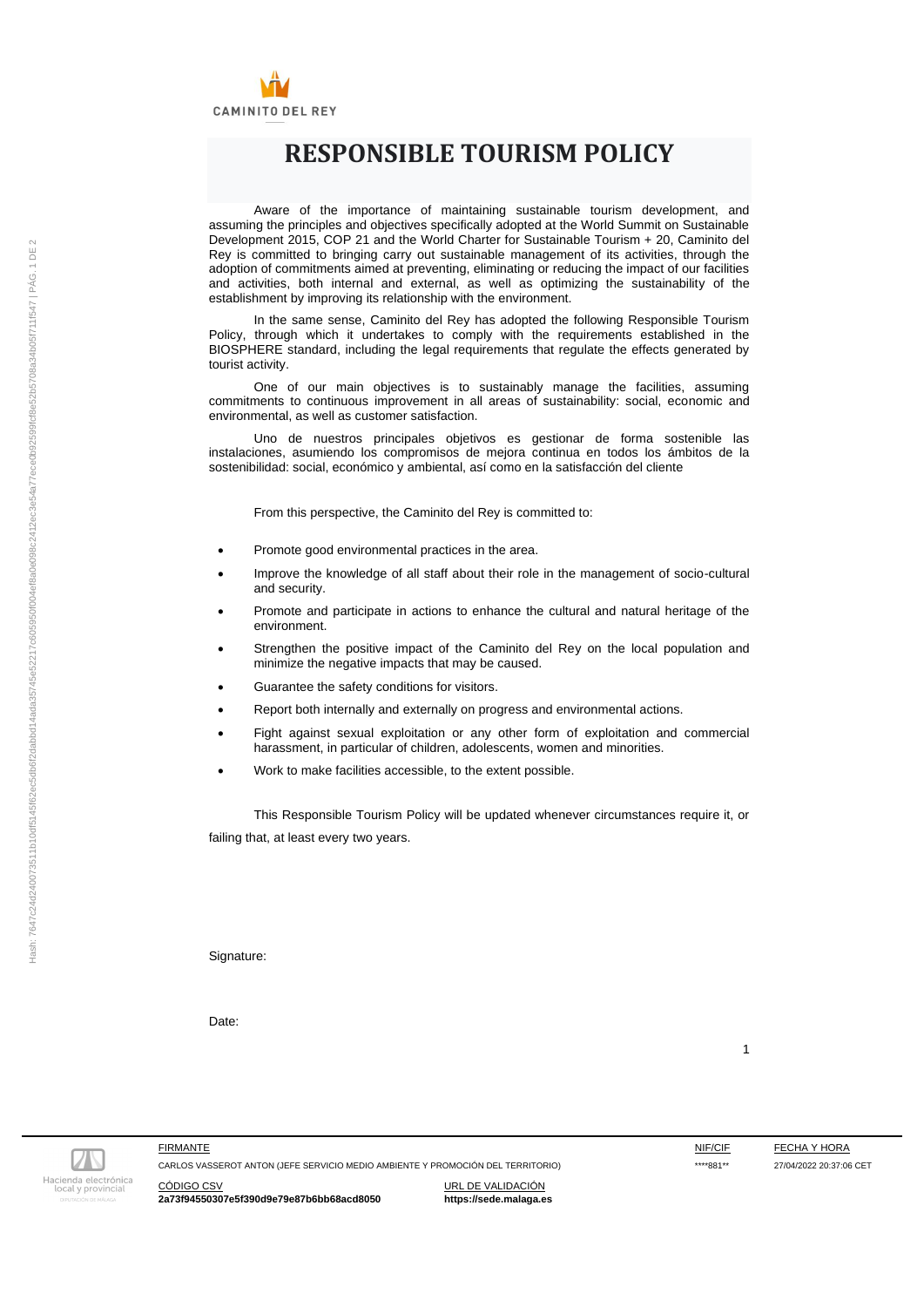

# **RESPONSIBLE TOURISM POLICY**

Aware of the importance of maintaining sustainable tourism development, and assuming the principles and objectives specifically adopted at the World Summit on Sustainable Development 2015, COP 21 and the World Charter for Sustainable Tourism + 20, Caminito del Rey is committed to bringing carry out sustainable management of its activities, through the adoption of commitments aimed at preventing, eliminating or reducing the impact of our facilities and activities, both internal and external, as well as optimizing the sustainability of the establishment by improving its relationship with the environment.

In the same sense, Caminito del Rey has adopted the following Responsible Tourism Policy, through which it undertakes to comply with the requirements established in the BIOSPHERE standard, including the legal requirements that regulate the effects generated by tourist activity.

One of our main objectives is to sustainably manage the facilities, assuming commitments to continuous improvement in all areas of sustainability: social, economic and environmental, as well as customer satisfaction.

Uno de nuestros principales objetivos es gestionar de forma sostenible las instalaciones, asumiendo los compromisos de mejora continua en todos los ámbitos de la sostenibilidad: social, económico y ambiental, así como en la satisfacción del cliente

From this perspective, the Caminito del Rey is committed to:

- Promote good environmental practices in the area.
- Improve the knowledge of all staff about their role in the management of socio-cultural and security.
- Promote and participate in actions to enhance the cultural and natural heritage of the environment.
- Strengthen the positive impact of the Caminito del Rey on the local population and minimize the negative impacts that may be caused.
- Guarantee the safety conditions for visitors.
- Report both internally and externally on progress and environmental actions.
- Fight against sexual exploitation or any other form of exploitation and commercial harassment, in particular of children, adolescents, women and minorities.
- Work to make facilities accessible, to the extent possible.

This Responsible Tourism Policy will be updated whenever circumstances require it, or failing that, at least every two years.

Signature:

Date:

Hacienda electrónica<br>local y provincial

CARLOS VASSEROT ANTON (JEFE SERVICIO MEDIO AMBIENTE Y PROMOCIÓN DEL TERRITORIO) \*\*\*\*881\*\* 27/04/2022 20:37:06 CET

1

FIRMANTE FIRMANTE ESTE EN EN ENGLAND EN EN ENGLAND EN EN ENGLAND EN EL ENGLAND EN EL ENGLAND EN ENGLAND EN EL

CÓDIGO CSV URL DE VALIDACIÓN **2a73f94550307e5f390d9e79e87b6bb68acd8050 https://sede.malaga.es**